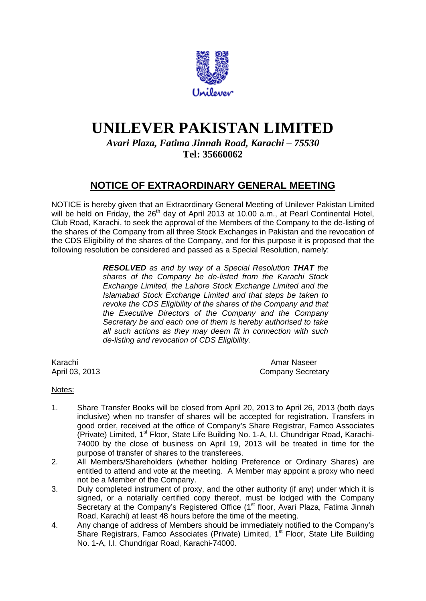

## **UNILEVER PAKISTAN LIMITED**

*Avari Plaza, Fatima Jinnah Road, Karachi – 75530* **Tel: 35660062**

## **NOTICE OF EXTRAORDINARY GENERAL MEETING**

NOTICE is hereby given that an Extraordinary General Meeting of Unilever Pakistan Limited will be held on Friday, the 26<sup>th</sup> day of April 2013 at 10.00 a.m., at Pearl Continental Hotel, Club Road, Karachi, to seek the approval of the Members of the Company to the de-listing of the shares of the Company from all three Stock Exchanges in Pakistan and the revocation of the CDS Eligibility of the shares of the Company, and for this purpose it is proposed that the following resolution be considered and passed as a Special Resolution, namely:

> *RESOLVED as and by way of a Special Resolution THAT the shares of the Company be de-listed from the Karachi Stock Exchange Limited, the Lahore Stock Exchange Limited and the Islamabad Stock Exchange Limited and that steps be taken to revoke the CDS Eligibility of the shares of the Company and that the Executive Directors of the Company and the Company Secretary be and each one of them is hereby authorised to take all such actions as they may deem fit in connection with such de-listing and revocation of CDS Eligibility.*

Karachi Amar Naseer<br>April 03, 2013 **Amar Naseer**<br>Company Secret Company Secretary

## Notes:

- 1. Share Transfer Books will be closed from April 20, 2013 to April 26, 2013 (both days inclusive) when no transfer of shares will be accepted for registration. Transfers in good order, received at the office of Company's Share Registrar, Famco Associates (Private) Limited, 1<sup>st</sup> Floor, State Life Building No. 1-A, I.I. Chundrigar Road, Karachi-74000 by the close of business on April 19, 2013 will be treated in time for the purpose of transfer of shares to the transferees.
- 2. All Members/Shareholders (whether holding Preference or Ordinary Shares) are entitled to attend and vote at the meeting. A Member may appoint a proxy who need not be a Member of the Company.
- 3. Duly completed instrument of proxy, and the other authority (if any) under which it is signed, or a notarially certified copy thereof, must be lodged with the Company Secretary at the Company's Registered Office (1<sup>st</sup> floor, Avari Plaza, Fatima Jinnah Road, Karachi) at least 48 hours before the time of the meeting.
- 4. Any change of address of Members should be immediately notified to the Company's Share Registrars, Famco Associates (Private) Limited, 1<sup>st</sup> Floor, State Life Building No. 1-A, I.I. Chundrigar Road, Karachi-74000.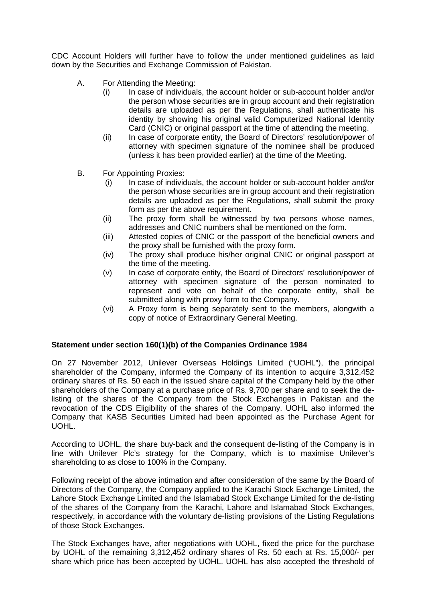CDC Account Holders will further have to follow the under mentioned guidelines as laid down by the Securities and Exchange Commission of Pakistan.

- A. For Attending the Meeting:
	- (i) In case of individuals, the account holder or sub-account holder and/or the person whose securities are in group account and their registration details are uploaded as per the Regulations, shall authenticate his identity by showing his original valid Computerized National Identity Card (CNIC) or original passport at the time of attending the meeting.
	- (ii) In case of corporate entity, the Board of Directors' resolution/power of attorney with specimen signature of the nominee shall be produced (unless it has been provided earlier) at the time of the Meeting.
- B. For Appointing Proxies:
	- (i) In case of individuals, the account holder or sub-account holder and/or the person whose securities are in group account and their registration details are uploaded as per the Regulations, shall submit the proxy form as per the above requirement.
	- (ii) The proxy form shall be witnessed by two persons whose names, addresses and CNIC numbers shall be mentioned on the form.
	- (iii) Attested copies of CNIC or the passport of the beneficial owners and the proxy shall be furnished with the proxy form.
	- (iv) The proxy shall produce his/her original CNIC or original passport at the time of the meeting.
	- (v) In case of corporate entity, the Board of Directors' resolution/power of attorney with specimen signature of the person nominated to represent and vote on behalf of the corporate entity, shall be submitted along with proxy form to the Company.
	- (vi) A Proxy form is being separately sent to the members, alongwith a copy of notice of Extraordinary General Meeting.

## **Statement under section 160(1)(b) of the Companies Ordinance 1984**

On 27 November 2012, Unilever Overseas Holdings Limited ("UOHL"), the principal shareholder of the Company, informed the Company of its intention to acquire 3,312,452 ordinary shares of Rs. 50 each in the issued share capital of the Company held by the other shareholders of the Company at a purchase price of Rs. 9,700 per share and to seek the delisting of the shares of the Company from the Stock Exchanges in Pakistan and the revocation of the CDS Eligibility of the shares of the Company. UOHL also informed the Company that KASB Securities Limited had been appointed as the Purchase Agent for UOHL.

According to UOHL, the share buy-back and the consequent de-listing of the Company is in line with Unilever Plc's strategy for the Company, which is to maximise Unilever's shareholding to as close to 100% in the Company.

Following receipt of the above intimation and after consideration of the same by the Board of Directors of the Company, the Company applied to the Karachi Stock Exchange Limited, the Lahore Stock Exchange Limited and the Islamabad Stock Exchange Limited for the de-listing of the shares of the Company from the Karachi, Lahore and Islamabad Stock Exchanges, respectively, in accordance with the voluntary de-listing provisions of the Listing Regulations of those Stock Exchanges.

The Stock Exchanges have, after negotiations with UOHL, fixed the price for the purchase by UOHL of the remaining 3,312,452 ordinary shares of Rs. 50 each at Rs. 15,000/- per share which price has been accepted by UOHL. UOHL has also accepted the threshold of